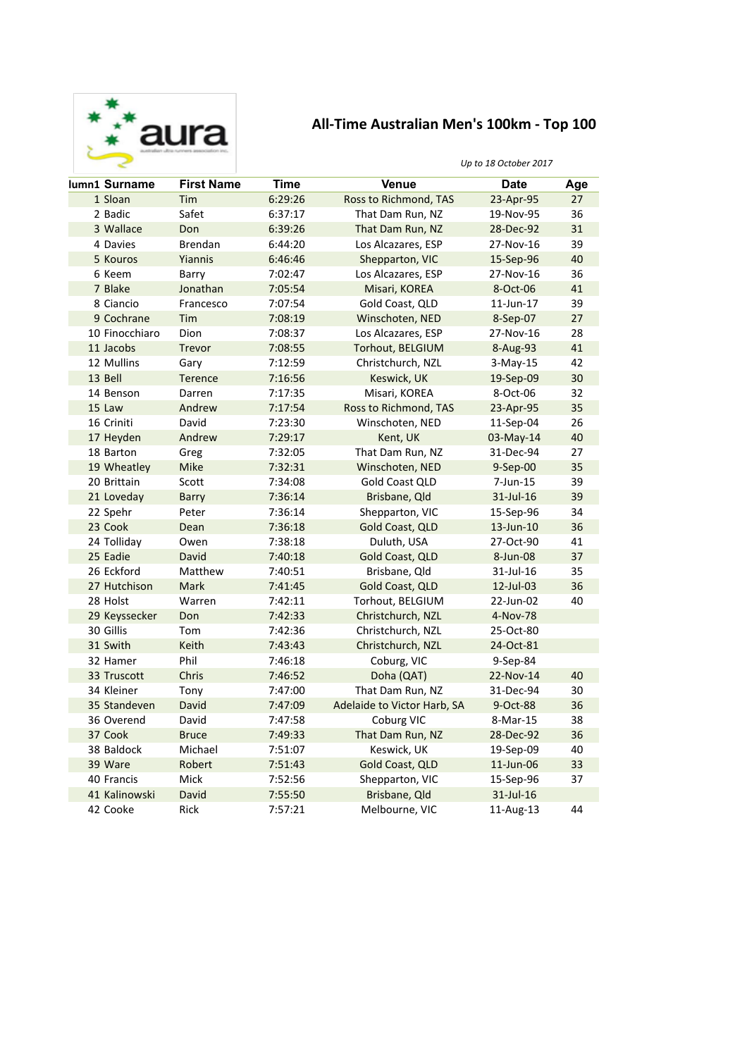

## All-Time Australian Men's 100km - Top 100

## *Up to 18 October 2017*

| lumn1 Surname  | <b>First Name</b> | Time    | <b>Venue</b>                | <b>Date</b> | Age |
|----------------|-------------------|---------|-----------------------------|-------------|-----|
| 1 Sloan        | Tim               | 6:29:26 | Ross to Richmond, TAS       | 23-Apr-95   | 27  |
| 2 Badic        | Safet             | 6:37:17 | That Dam Run, NZ            | 19-Nov-95   | 36  |
| 3 Wallace      | Don               | 6:39:26 | That Dam Run, NZ            | 28-Dec-92   | 31  |
| 4 Davies       | <b>Brendan</b>    | 6:44:20 | Los Alcazares, ESP          | 27-Nov-16   | 39  |
| 5 Kouros       | <b>Yiannis</b>    | 6:46:46 | Shepparton, VIC             | 15-Sep-96   | 40  |
| 6 Keem         | Barry             | 7:02:47 | Los Alcazares, ESP          | 27-Nov-16   | 36  |
| 7 Blake        | Jonathan          | 7:05:54 | Misari, KOREA               | 8-Oct-06    | 41  |
| 8 Ciancio      | Francesco         | 7:07:54 | Gold Coast, QLD             | 11-Jun-17   | 39  |
| 9 Cochrane     | Tim               | 7:08:19 | Winschoten, NED             | 8-Sep-07    | 27  |
| 10 Finocchiaro | Dion              | 7:08:37 | Los Alcazares, ESP          | 27-Nov-16   | 28  |
| 11 Jacobs      | <b>Trevor</b>     | 7:08:55 | Torhout, BELGIUM            | 8-Aug-93    | 41  |
| 12 Mullins     | Gary              | 7:12:59 | Christchurch, NZL           | $3-May-15$  | 42  |
| 13 Bell        | <b>Terence</b>    | 7:16:56 | Keswick, UK                 | 19-Sep-09   | 30  |
| 14 Benson      | Darren            | 7:17:35 | Misari, KOREA               | 8-Oct-06    | 32  |
| 15 Law         | Andrew            | 7:17:54 | Ross to Richmond, TAS       | 23-Apr-95   | 35  |
| 16 Criniti     | David             | 7:23:30 | Winschoten, NED             | 11-Sep-04   | 26  |
| 17 Heyden      | Andrew            | 7:29:17 | Kent, UK                    | 03-May-14   | 40  |
| 18 Barton      | Greg              | 7:32:05 | That Dam Run, NZ            | 31-Dec-94   | 27  |
| 19 Wheatley    | Mike              | 7:32:31 | Winschoten, NED             | 9-Sep-00    | 35  |
| 20 Brittain    | Scott             | 7:34:08 | <b>Gold Coast QLD</b>       | 7-Jun-15    | 39  |
| 21 Loveday     | <b>Barry</b>      | 7:36:14 | Brisbane, Qld               | 31-Jul-16   | 39  |
| 22 Spehr       | Peter             | 7:36:14 | Shepparton, VIC             | 15-Sep-96   | 34  |
| 23 Cook        | Dean              | 7:36:18 | Gold Coast, QLD             | 13-Jun-10   | 36  |
| 24 Tolliday    | Owen              | 7:38:18 | Duluth, USA                 | 27-Oct-90   | 41  |
| 25 Eadie       | <b>David</b>      | 7:40:18 | Gold Coast, QLD             | 8-Jun-08    | 37  |
| 26 Eckford     | Matthew           | 7:40:51 | Brisbane, Qld               | 31-Jul-16   | 35  |
| 27 Hutchison   | Mark              | 7:41:45 | Gold Coast, QLD             | 12-Jul-03   | 36  |
| 28 Holst       | Warren            | 7:42:11 | Torhout, BELGIUM            | 22-Jun-02   | 40  |
| 29 Keyssecker  | Don               | 7:42:33 | Christchurch, NZL           | 4-Nov-78    |     |
| 30 Gillis      | Tom               | 7:42:36 | Christchurch, NZL           | 25-Oct-80   |     |
| 31 Swith       | Keith             | 7:43:43 | Christchurch, NZL           | 24-Oct-81   |     |
| 32 Hamer       | Phil              | 7:46:18 | Coburg, VIC                 | 9-Sep-84    |     |
| 33 Truscott    | Chris             | 7:46:52 | Doha (QAT)                  | 22-Nov-14   | 40  |
| 34 Kleiner     | Tony              | 7:47:00 | That Dam Run, NZ            | 31-Dec-94   | 30  |
| 35 Standeven   | David             | 7:47:09 | Adelaide to Victor Harb, SA | 9-Oct-88    | 36  |
| 36 Overend     | David             | 7:47:58 | Coburg VIC                  | 8-Mar-15    | 38  |
| 37 Cook        | <b>Bruce</b>      | 7:49:33 | That Dam Run, NZ            | 28-Dec-92   | 36  |
| 38 Baldock     | Michael           | 7:51:07 | Keswick, UK                 | 19-Sep-09   | 40  |
| 39 Ware        | Robert            | 7:51:43 | Gold Coast, QLD             | 11-Jun-06   | 33  |
| 40 Francis     | Mick              | 7:52:56 | Shepparton, VIC             | 15-Sep-96   | 37  |
| 41 Kalinowski  | David             | 7:55:50 | Brisbane, Qld               | 31-Jul-16   |     |
| 42 Cooke       | Rick              | 7:57:21 | Melbourne, VIC              | 11-Aug-13   | 44  |